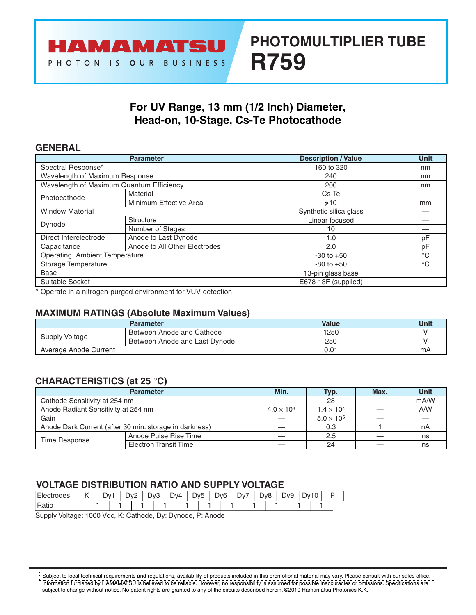# **PHOTOMULTIPLIER TUBE R759**

## **For UV Range, 13 mm (1/2 Inch) Diameter, Head-on, 10-Stage, Cs-Te Photocathode**

## **GENERAL**

|                                          | <b>Parameter</b>              | <b>Description / Value</b> | <b>Unit</b> |
|------------------------------------------|-------------------------------|----------------------------|-------------|
| Spectral Response*                       |                               | 160 to 320                 | nm          |
| Wavelength of Maximum Response           |                               | 240                        | nm          |
| Wavelength of Maximum Quantum Efficiency |                               | 200                        | nm          |
| Photocathode                             | Material                      | Cs-Te                      |             |
|                                          | Minimum Effective Area        | $\phi$ 10                  | mm          |
| <b>Window Material</b>                   |                               | Synthetic silica glass     |             |
| Dynode                                   | Structure                     | Linear focused             |             |
|                                          | Number of Stages              | 10                         |             |
| Direct Interelectrode                    | Anode to Last Dynode          | 1.0                        | pF          |
| Capacitance                              | Anode to All Other Electrodes | 2.0                        | рF          |
| <b>Operating Ambient Temperature</b>     |                               | $-30$ to $+50$             | $^{\circ}C$ |
| Storage Temperature                      |                               | $-80$ to $+50$             | $^{\circ}C$ |
| <b>Base</b>                              |                               | 13-pin glass base          |             |
| Suitable Socket                          |                               | E678-13F (supplied)        |             |

\* Operate in a nitrogen-purged environment for VUV detection.

## **MAXIMUM RATINGS (Absolute Maximum Values)**

|                       | <b>Parameter</b>              | <b>Value</b> | Unit |
|-----------------------|-------------------------------|--------------|------|
| Supply Voltage        | Between Anode and Cathode     | 1250         |      |
|                       | Between Anode and Last Dynode | 250          |      |
| Average Anode Current |                               | 0.01         | mA   |

## **CHARACTERISTICS (at 25** °**C)**

|                                                        | <b>Parameter</b>             | Min.                | Typ.                | Max. | <b>Unit</b> |  |
|--------------------------------------------------------|------------------------------|---------------------|---------------------|------|-------------|--|
| Cathode Sensitivity at 254 nm                          |                              |                     | 28                  |      | mA/W        |  |
| Anode Radiant Sensitivity at 254 nm                    | $4.0 \times 10^{3}$          | $1.4 \times 10^{4}$ |                     | A/W  |             |  |
| Gain                                                   |                              |                     | $5.0 \times 10^{5}$ |      |             |  |
| Anode Dark Current (after 30 min. storage in darkness) |                              | 0.3                 |                     | nA   |             |  |
| Time Response                                          | Anode Pulse Rise Time        |                     | 2.5                 |      | ns          |  |
|                                                        | <b>Electron Transit Time</b> |                     | 24                  |      | ns          |  |

## **VOLTAGE DISTRIBUTION RATIO AND SUPPLY VOLTAGE**

| des<br>HA. | . . | $\mathcal{N}$<br>◡ | $\overline{\phantom{0}}$<br>v<br>◡ | י∨ר.<br>◡ | Dv4 | Dv <sub>5</sub> | - | הער<br>ັ | Dv' | - | Dv8 | $y_9$ | $\overline{1}$<br>Dv | U |  |
|------------|-----|--------------------|------------------------------------|-----------|-----|-----------------|---|----------|-----|---|-----|-------|----------------------|---|--|
| ιαιιι      |     |                    |                                    |           |     |                 |   |          |     |   |     |       |                      |   |  |

Supply Voltage: 1000 Vdc, K: Cathode, Dy: Dynode, P: Anode

\_\_\_\_\_\_\_\_\_\_\_\_\_\_\_\_\_\_\_\_\_\_\_\_ Subject to local technical requirements and regulations, availability of products included in this promotional material may vary. Please consult with our sales office. Information furnished by HAMAMATSU is believed to be reliable. However, no responsibility is assumed for possible inaccuracies or omissions. Specifications are subject to change without notice. No patent rights are granted to any of the circuits described herein. ©2010 Hamamatsu Photonics K.K.